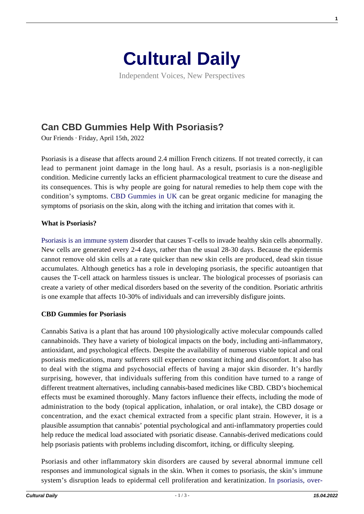

Independent Voices, New Perspectives

# **[Can CBD Gummies Help With Psoriasis?](https://culturaldaily.com/can-cbd-gummies-help-with-psoriasis/)**

Our Friends · Friday, April 15th, 2022

Psoriasis is a disease that affects around 2.4 million French citizens. If not treated correctly, it can lead to permanent joint damage in the long haul. As a result, psoriasis is a non-negligible condition. Medicine currently lacks an efficient pharmacological treatment to cure the disease and its consequences. This is why people are going for natural remedies to help them cope with the condition's symptoms. [CBD Gummies in UK](https://cbdfx.co.uk/collections/cbd-gummies) can be great organic medicine for managing the symptoms of psoriasis on the skin, along with the itching and irritation that comes with it.

#### **What is Psoriasis?**

[Psoriasis is an immune system](https://www.mayoclinic.org/diseases-conditions/psoriasis/symptoms-causes/syc-20355840#:~:text=Psoriasis%20is%20a%20skin%20disease,while%20or%20going%20into%20remission.) disorder that causes T-cells to invade healthy skin cells abnormally. New cells are generated every 2-4 days, rather than the usual 28-30 days. Because the epidermis cannot remove old skin cells at a rate quicker than new skin cells are produced, dead skin tissue accumulates. Although genetics has a role in developing psoriasis, the specific autoantigen that causes the T-cell attack on harmless tissues is unclear. The biological processes of psoriasis can create a variety of other medical disorders based on the severity of the condition. Psoriatic arthritis is one example that affects 10-30% of individuals and can irreversibly disfigure joints.

#### **CBD Gummies for Psoriasis**

Cannabis Sativa is a plant that has around 100 physiologically active molecular compounds called cannabinoids. They have a variety of biological impacts on the body, including anti-inflammatory, antioxidant, and psychological effects. Despite the availability of numerous viable topical and oral psoriasis medications, many sufferers still experience constant itching and discomfort. It also has to deal with the stigma and psychosocial effects of having a major skin disorder. It's hardly surprising, however, that individuals suffering from this condition have turned to a range of different treatment alternatives, including cannabis-based medicines like CBD. CBD's biochemical effects must be examined thoroughly. Many factors influence their effects, including the mode of administration to the body (topical application, inhalation, or oral intake), the CBD dosage or concentration, and the exact chemical extracted from a specific plant strain. However, it is a plausible assumption that cannabis' potential psychological and anti-inflammatory properties could help reduce the medical load associated with psoriatic disease. Cannabis-derived medications could help psoriasis patients with problems including discomfort, itching, or difficulty sleeping.

Psoriasis and other inflammatory skin disorders are caused by several abnormal immune cell responses and immunological signals in the skin. When it comes to psoriasis, the skin's immune system's disruption leads to epidermal cell proliferation and keratinization. [In psoriasis, over-](https://www.ncbi.nlm.nih.gov/pmc/articles/PMC5395242/) **1**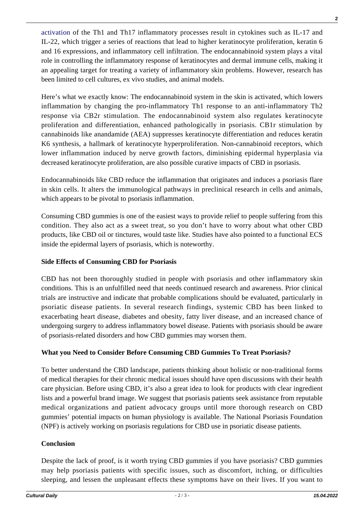[activation](https://www.ncbi.nlm.nih.gov/pmc/articles/PMC5395242/) of the Th1 and Th17 inflammatory processes result in cytokines such as IL-17 and IL-22, which trigger a series of reactions that lead to higher keratinocyte proliferation, keratin 6 and 16 expressions, and inflammatory cell infiltration. The endocannabinoid system plays a vital role in controlling the inflammatory response of keratinocytes and dermal immune cells, making it an appealing target for treating a variety of inflammatory skin problems. However, research has been limited to cell cultures, ex vivo studies, and animal models.

Here's what we exactly know: The endocannabinoid system in the skin is activated, which lowers inflammation by changing the pro-inflammatory Th1 response to an anti-inflammatory Th2 response via CB2r stimulation. The endocannabinoid system also regulates keratinocyte proliferation and differentiation, enhanced pathologically in psoriasis. CB1r stimulation by cannabinoids like anandamide (AEA) suppresses keratinocyte differentiation and reduces keratin K6 synthesis, a hallmark of keratinocyte hyperproliferation. Non-cannabinoid receptors, which lower inflammation induced by nerve growth factors, diminishing epidermal hyperplasia via decreased keratinocyte proliferation, are also possible curative impacts of CBD in psoriasis.

Endocannabinoids like CBD reduce the inflammation that originates and induces a psoriasis flare in skin cells. It alters the immunological pathways in preclinical research in cells and animals, which appears to be pivotal to psoriasis inflammation.

Consuming CBD gummies is one of the easiest ways to provide relief to people suffering from this condition. They also act as a sweet treat, so you don't have to worry about what other CBD products, like CBD oil or tinctures, would taste like. Studies have also pointed to a functional ECS inside the epidermal layers of psoriasis, which is noteworthy.

## **Side Effects of Consuming CBD for Psoriasis**

CBD has not been thoroughly studied in people with psoriasis and other inflammatory skin conditions. This is an unfulfilled need that needs continued research and awareness. Prior clinical trials are instructive and indicate that probable complications should be evaluated, particularly in psoriatic disease patients. In several research findings, systemic CBD has been linked to exacerbating heart disease, diabetes and obesity, fatty liver disease, and an increased chance of undergoing surgery to address inflammatory bowel disease. Patients with psoriasis should be aware of psoriasis-related disorders and how CBD gummies may worsen them.

## **What you Need to Consider Before Consuming CBD Gummies To Treat Psoriasis?**

To better understand the CBD landscape, patients thinking about holistic or non-traditional forms of medical therapies for their chronic medical issues should have open discussions with their health care physician. Before using CBD, it's also a great idea to look for products with clear ingredient lists and a powerful brand image. We suggest that psoriasis patients seek assistance from reputable medical organizations and patient advocacy groups until more thorough research on CBD gummies' potential impacts on human physiology is available. The National Psoriasis Foundation (NPF) is actively working on psoriasis regulations for CBD use in psoriatic disease patients.

## **Conclusion**

Despite the lack of proof, is it worth trying CBD gummies if you have psoriasis? CBD gummies may help psoriasis patients with specific issues, such as discomfort, itching, or difficulties sleeping, and lessen the unpleasant effects these symptoms have on their lives. If you want to